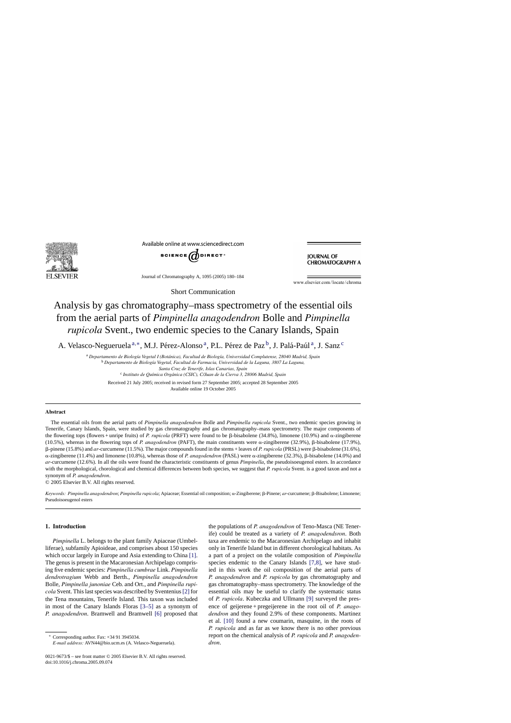

Available online at www.sciencedirect.com



**JOURNAL OF CHROMATOGRAPHY A** 

Journal of Chromatography A, 1095 (2005) 180–184

www.elsevier.com/locate/chroma

Short Communication

# Analysis by gas chromatography–mass spectrometry of the essential oils from the aerial parts of *Pimpinella anagodendron* Bolle and *Pimpinella rupicola* Svent., two endemic species to the Canary Islands, Spain

A. Velasco-Negueruela<sup>a,\*</sup>, M.J. Pérez-Alonso<sup>a</sup>, P.L. Pérez de Paz<sup>b</sup>, J. Palá-Paúl<sup>a</sup>, J. Sanz<sup>c</sup>

<sup>a</sup> Departamento de Biología Vegetal I (Botánica), Facultad de Biología, Universidad Complutense, 28040 Madrid, Spain

<sup>b</sup> *Departamento de Biolog´ıa Vegetal, Facultad de Farmacia, Universidad de la Laguna, 3807 La Laguna,*

*Santa Cruz de Tenerife, Islas Canarias, Spain*

<sup>c</sup> *Instituto de Qu´ımica Org ´anica (CSIC), C/Juan de la Cierva 3, 28006 Madrid, Spain*

Received 21 July 2005; received in revised form 27 September 2005; accepted 28 September 2005 Available online 19 October 2005

## **Abstract**

The essential oils from the aerial parts of *Pimpinella anagodendron* Bolle and *Pimpinella rupicola* Svent., two endemic species growing in Tenerife, Canary Islands, Spain, were studied by gas chromatography and gas chromatography–mass spectrometry. The major components of the flowering tops (flowers + unripe fruits) of *P. rupicola* (PRFT) were found to be  $\beta$ -bisabolene (34.8%), limonene (10.9%) and  $\alpha$ -zingiberene (10.5%), whereas in the flowering tops of *P. anagodendron* (PAFT), the main constituents were  $\alpha$ -zingiberene (32.9%),  $\beta$ -bisabolene (17.9%),  $\beta$ -pinene (15.8%) and *ar*-curcumene (11.5%). The major compounds found in the stems + leaves of *P. rupicola* (PRSL) were β-bisabolene (31.6%), α-zingiberene (11.4%) and limonene (10.8%), whereas those of *P. anagodendron* (PASL) were α-zingiberene (32.3%), β-bisabolene (14.0%) and *ar*-curcumene (12.6%). In all the oils were found the characteristic constituents of genus *Pimpinella*, the pseudoisoeugenol esters. In accordance with the morphological, chorological and chemical differences between both species, we suggest that *P. rupicola* Svent. is a good taxon and not a synonym of *P. anagodendron*.

© 2005 Elsevier B.V. All rights reserved.

Keywords: Pimpinella anagodendron; Pimpinella rupicola; Apiaceae; Essential oil composition; α-Zingiberene; β-Pinene; ar-curcumene; β-Bisabolene; Limonene; Pseudoisoeugenol esters

#### **1. Introduction**

*Pimpinella* L. belongs to the plant family Apiaceae (Umbelliferae), subfamily Apioideae, and comprises about 150 species which occur largely in Europe and Asia extending to China [\[1\].](#page-3-0) The genus is present in the Macaronesian Archipelago comprising five endemic species: *Pimpinella cumbrae* Link. *Pimpinella dendrotragium* Webb and Berth., *Pimpinella anagodendron* Bolle, *Pimpinella junoniae* Ceb. and Ort., and *Pimpinella rupicola* Svent. This last species was described by Sventenius[\[2\]](#page-3-0) for the Tena mountains, Tenerife Island. This taxon was included in most of the Canary Islands Floras [\[3–5\]](#page-3-0) as a synonym of *P. anagodendron*. Bramwell and Bramwell [\[6\]](#page-3-0) proposed that

∗ Corresponding author. Fax: +34 91 3945034.

*E-mail address:* AVN44@bio.ucm.es (A. Velasco-Negueruela).

the populations of *P. anagodendron* of Teno-Masca (NE Tenerife) could be treated as a variety of *P. anagodendsron*. Both taxa are endemic to the Macaronesian Archipelago and inhabit only in Tenerife Island but in different chorological habitats. As a part of a project on the volatile composition of *Pimpinella* species endemic to the Canary Islands [\[7,8\],](#page-3-0) we have studied in this work the oil composition of the aerial parts of *P. anagodendron* and *P. rupicola* by gas chromatography and gas chromatography–mass spectrometry. The knowledge of the essential oils may be useful to clarify the systematic status of *P. rupicola*. Kubeczka and Ullmann [\[9\]](#page-3-0) surveyed the presence of geijerene + pregeijerene in the root oil of *P. anagodendron* and they found 2.9% of these components. Martinez et al. [\[10\]](#page-3-0) found a new coumarin, masquine, in the roots of *P. rupicola* and as far as we know there is no other previous report on the chemical analysis of *P. rupicola* and *P. anagodendron*.

<sup>0021-9673/\$ –</sup> see front matter © 2005 Elsevier B.V. All rights reserved. doi:10.1016/j.chroma.2005.09.074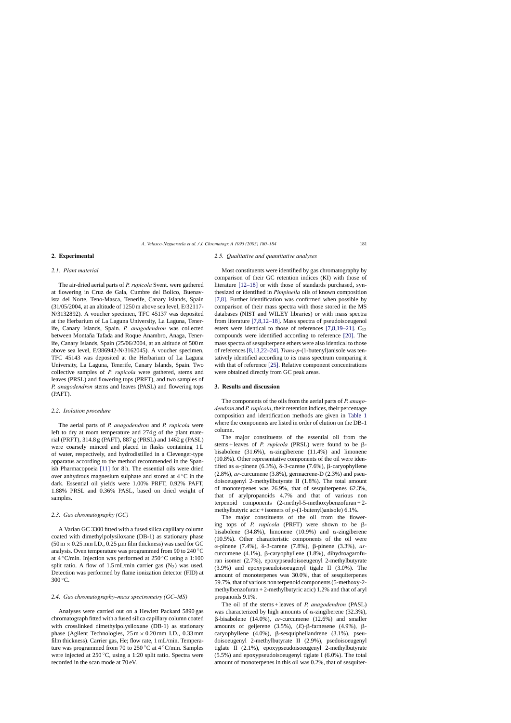## **2. Experimental**

## *2.1. Plant material*

The air-dried aerial parts of *P. rupicola* Svent. were gathered at flowering in Cruz de Gala, Cumbre del Bolico, Buenavista del Norte, Teno-Masca, Tenerife, Canary Islands, Spain (31/05/2004, at an altitude of 1250 m above sea level, E/32117- N/3132892). A voucher specimen, TFC 45137 was deposited at the Herbarium of La Laguna University, La Laguna, Tenerife, Canary Islands, Spain. *P. anagodendron* was collected between Montaña Tafada and Roque Anambro, Anaga, Tenerife, Canary Islands, Spain (25/06/2004, at an altitude of 500 m above sea level, E/386942-N/3162045). A voucher specimen, TFC 45143 was deposited at the Herbarium of La Laguna University, La Laguna, Tenerife, Canary Islands, Spain. Two collective samples of *P. rupicola* were gathered, stems and leaves (PRSL) and flowering tops (PRFT), and two samples of *P. anagodendron* stems and leaves (PASL) and flowering tops (PAFT).

## *2.2. Isolation procedure*

The aerial parts of *P. anagodendron* and *P. rupicola* were left to dry at room temperature and 274 g of the plant material (PRFT), 314.8 g (PAFT), 887 g (PRSL) and 1462 g (PASL) were coarsely minced and placed in flasks containing 1 L of water, respectively, and hydrodistilled in a Clevenger-type apparatus according to the method recommended in the Spanish Pharmacopoeia [\[11\]](#page-3-0) for 8 h. The essential oils were dried over anhydrous magnesium sulphate and stored at 4 ◦C in the dark. Essential oil yields were 1.00% PRFT, 0.92% PAFT, 1.88% PRSL and 0.36% PASL, based on dried weight of samples.

### *2.3. Gas chromatography (GC)*

A Varian GC 3300 fitted with a fused silica capillary column coated with dimethylpolysiloxane (DB-1) as stationary phase  $(50 \text{ m} \times 0.25 \text{ mm }$  I.D., 0.25  $\mu$ m film thickness) was used for GC analysis. Oven temperature was programmed from 90 to 240 ◦C at  $4^{\circ}$ C/min. Injection was performed at  $250^{\circ}$ C using a 1:100 split ratio. A flow of  $1.5$  mL/min carrier gas  $(N_2)$  was used. Detection was performed by flame ionization detector (FID) at  $300\,^{\circ}$ C.

### *2.4. Gas chromatography–mass spectrometry (GC–MS)*

Analyses were carried out on a Hewlett Packard 5890 gas chromatograph fitted with a fused silica capillary column coated with crosslinked dimethylpolysiloxane (DB-1) as stationary phase (Agilent Technologies,  $25 \text{ m} \times 0.20 \text{ mm}$  I.D., 0.33 mm film thickness). Carrier gas, He; flow rate, 1 mL/min. Temperature was programmed from 70 to 250 ◦C at 4 ◦C/min. Samples were injected at 250 °C, using a 1:20 split ratio. Spectra were recorded in the scan mode at 70 eV.

### *2.5. Qualitative and quantitative analyses*

Most constituents were identified by gas chromatography by comparison of their GC retention indices (KI) with those of literature [\[12–18\]](#page-3-0) or with those of standards purchased, synthesized or identified in *Pimpinella* oils of known composition [\[7,8\].](#page-3-0) Further identification was confirmed when possible by comparison of their mass spectra with those stored in the MS databases (NIST and WILEY libraries) or with mass spectra from literature [\[7,8,12–18\].](#page-3-0) Mass spectra of pseudoisoeugenol esters were identical to those of references  $[7,8,19-21]$ . C<sub>12</sub> compounds were identified according to reference [\[20\].](#page-3-0) The mass spectra of sesquiterpene ethers were also identical to those of references [\[8,13,22–24\].](#page-3-0) *Trans*-*p*-(1-butenyl)anisole was tentatively identified according to its mass spectrum comparing it with that of reference [\[25\].](#page-4-0) Relative component concentrations were obtained directly from GC peak areas.

#### **3. Results and discussion**

The components of the oils from the aerial parts of *P. anagodendron* and *P. rupicola*, their retention indices, their percentage composition and identification methods are given in [Table 1](#page-2-0) where the components are listed in order of elution on the DB-1 column.

The major constituents of the essential oil from the stems + leaves of *P. rupicola* (PRSL) were found to be  $\beta$ bisabolene  $(31.6\%)$ ,  $\alpha$ -zingiberene  $(11.4\%)$  and limonene (10.8%). Other representative components of the oil were identified as  $\alpha$ -pinene (6.3%),  $\delta$ -3-carene (7.6%),  $\beta$ -caryophyllene (2.8%), *ar*-curcumene (3.8%), germacrene-D (2.3%) and pseudoisoeugenyl 2-methyllbutyrate II (1.8%). The total amount of monoterpenes was 26.9%, that of sesquiterpenes 62.3%, that of arylpropanoids 4.7% and that of various non terpenoid components (2-methyl-5-methoxybenzofuran + 2 methylbutyric acic + isomers of *p*-(1-butenyl)anisole) 6.1%.

The major constituents of the oil from the flowering tops of *P. rupicola* (PRFT) were shown to be  $\beta$ bisabolene (34.8%), limonene (10.9%) and  $\alpha$ -zingiberene (10.5%). Other characteristic components of the oil were α-pinene (7.4%), δ-3-carene (7.8%), β-pinene (3.3%), *ar*curcumene  $(4.1\%)$ ,  $\beta$ -caryophyllene  $(1.8\%)$ , dihydroagarofuran isomer (2.7%), epoxypseudoisoeugenyl 2-methylbutyrate (3.9%) and epoxypseudoisoeugenyl tigale II (3.0%). The amount of monoterpenes was 30.0%, that of sesquiterpenes 59.7%, that of various non terpenoid components (5-methoxy-2 methylbenzofuran  $+ 2$ -methylbutyric acic) 1.2% and that of aryl propanoids 9.1%.

The oil of the stems + leaves of *P. anagodendron* (PASL) was characterized by high amounts of  $\alpha$ -zingiberene (32.3%), -bisabolene (14.0%), *ar*-curcumene (12.6%) and smaller amounts of geijerene  $(3.5\%)$ ,  $(E)$ - $\beta$ -farnesene  $(4.9\%)$ ,  $\beta$ caryophyllene  $(4.0\%)$ ,  $\beta$ -sesquiphellandrene  $(3.1\%)$ , pseudoisoeugenyl 2-methylbutyrate II (2.9%), psedoisoeugenyl tiglate II (2.1%), epoxypseudoisoeugenyl 2-methylbutyrate (5.5%) and epoxypseudoisoeugenyl tiglate I (6.0%). The total amount of monoterpenes in this oil was 0.2%, that of sesquiter-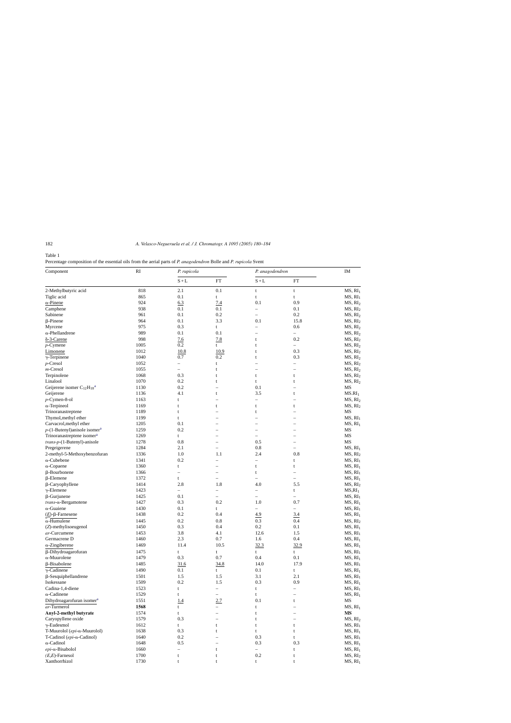## <span id="page-2-0"></span>Table 1

Percentage composition of the essential oils from the aerial parts of *P. anagodendron* Bolle and *P. rupicola* Svent

| Component                                   | R1   | P. rupicola              |                          | P. anagodendron          |                          | IM                  |
|---------------------------------------------|------|--------------------------|--------------------------|--------------------------|--------------------------|---------------------|
|                                             |      | $\mathbf{S}+\mathbf{L}$  | <b>FT</b>                | $\mathbf{S}+\mathbf{L}$  | FT                       |                     |
| 2-Methylbutyric acid                        | 818  | 2.1                      | 0.1                      | t                        | t                        | MS, RI <sub>1</sub> |
| Tiglic acid                                 | 865  | 0.1                      | t                        | t                        | t                        | MS, RI <sub>1</sub> |
| $\alpha$ -Pinene                            | 924  | 6.3                      | 7.4                      | 0.1                      | 0.9                      | MS, RI <sub>2</sub> |
| Camphene                                    | 938  | 0.1                      | 0.1                      | $\overline{\phantom{0}}$ | 0.1                      | MS, RI <sub>2</sub> |
| Sabinene                                    | 961  | 0.1                      | 0.2                      | $\overline{\phantom{0}}$ | 0.2                      | MS, RI <sub>2</sub> |
| $\beta$ -Pinene                             | 964  | 0.1                      | 3.3                      | 0.1                      | 15.8                     | MS, RI <sub>2</sub> |
| Myrcene                                     | 975  | 0.3                      | $\mathbf t$              | $\overline{\phantom{0}}$ | 0.6                      | MS, RI <sub>2</sub> |
| $\alpha$ -Phellandrene                      | 989  | 0.1                      | 0.1                      |                          | $-$                      | MS, RI <sub>2</sub> |
| δ-3-Carene                                  | 998  | 7.6                      | 7.8                      | t                        | 0.2                      | MS, RI <sub>2</sub> |
| $p$ -Cymene                                 | 1005 | 0.2                      | t                        | t                        | $\qquad \qquad -$        | MS, RI <sub>2</sub> |
| Limonene                                    | 1012 | 10.8                     | 10.9                     |                          | 0.3                      | MS, RI <sub>2</sub> |
|                                             | 1040 | 0.7                      | 0.2                      | t                        | 0.3                      |                     |
| $\gamma$ -Terpinene                         |      |                          |                          | t                        |                          | MS, RI <sub>2</sub> |
| $p$ -Cresol                                 | 1052 | $\qquad \qquad -$        | t                        | $\overline{\phantom{0}}$ | $\overline{\phantom{0}}$ | MS, RI <sub>2</sub> |
| $m$ -Cresol                                 | 1055 | $\overline{\phantom{0}}$ | t                        |                          | $\overline{\phantom{0}}$ | MS, RI <sub>2</sub> |
| Terpinolene                                 | 1068 | 0.3                      | t                        | t                        | t                        | MS, RI <sub>2</sub> |
| Linalool                                    | 1070 | 0.2                      | t                        | t                        | t                        | MS, RI <sub>2</sub> |
| Geijerene isomer $C_{12}H_{18}^a$           | 1130 | 0.2                      |                          | 0.1                      |                          | MS                  |
| Geijerene                                   | 1136 | 4.1                      | t                        | 3.5                      | t                        | $MS.RI_1$           |
| $p$ -Cymen-8-ol                             | 1163 | t                        |                          | $\equiv$                 |                          | MS, RI <sub>2</sub> |
| $\alpha$ -Terpineol                         | 1169 | t                        | t                        | t                        | t                        | MS, RI <sub>2</sub> |
| Trinoranastreptene                          | 1189 | t                        |                          | t                        |                          | MS                  |
| Thymol, methyl ether                        | 1199 | t                        |                          | $\overline{\phantom{0}}$ |                          | MS, RI <sub>1</sub> |
| Carvacrol, methyl ether                     | 1205 | 0.1                      |                          |                          |                          | MS, RI <sub>1</sub> |
| $p$ -(1-Butenyl)anisole isomer <sup>a</sup> | 1259 | 0.2                      |                          |                          |                          | MS                  |
| Trinoranastreptene isomer <sup>a</sup>      | 1269 | t                        |                          | $\overline{\phantom{0}}$ |                          | MS                  |
| trans-p-(1-Butenyl)-anisole                 | 1278 | 0.8                      |                          | 0.5                      | $\overline{\phantom{0}}$ | MS                  |
| Pregeigerene                                | 1284 | 2.1                      | $\overline{\phantom{0}}$ | 0.8                      | $\overline{\phantom{0}}$ | MS, RI <sub>1</sub> |
| 2-methyl-5-Methoxybenzofuran                | 1336 | 1.0                      | 1.1                      | 2.4                      | 0.8                      | MS, RI <sub>2</sub> |
| $\alpha$ -Cubebene                          | 1341 | 0.2                      | $\overline{\phantom{0}}$ | $\equiv$                 | t                        | MS, RI <sub>1</sub> |
|                                             | 1360 |                          |                          |                          |                          | MS, RI <sub>1</sub> |
| $\alpha$ -Copaene                           |      | t                        |                          | t                        | t                        |                     |
| $\beta$ -Bourbonene                         | 1366 | $\overline{\phantom{0}}$ |                          | t                        | $\overline{\phantom{0}}$ | MS, RI <sub>1</sub> |
| $\beta$ -Elemene                            | 1372 | t                        | $\overline{\phantom{0}}$ | $\overline{\phantom{0}}$ | $\overline{\phantom{0}}$ | MS, RI <sub>1</sub> |
| β-Caryophyllene                             | 1414 | 2.8                      | 1.8                      | 4.0                      | 5.5                      | MS, RI <sub>2</sub> |
| $\gamma$ -Elemene                           | 1423 | $\qquad \qquad -$        | $\qquad \qquad -$        | $\overline{\phantom{0}}$ | t                        | $MS, RI_1$          |
| $\beta$ -Gurjunene                          | 1425 | 0.1                      | $\equiv$                 | $\overline{\phantom{0}}$ | $\overline{a}$           | MS, RI <sub>1</sub> |
| $trans-\alpha$ -Bergamotene                 | 1427 | 0.3                      | 0.2                      | 1.0                      | 0.7                      | MS, RI <sub>1</sub> |
| $\alpha$ -Guaiene                           | 1430 | 0.1                      | t                        | $\overline{\phantom{0}}$ | $\qquad \qquad -$        | MS, RI <sub>1</sub> |
| $(E)$ -β-Farnesene                          | 1438 | 0.2                      | 0.4                      | 4.9                      | 3.4                      | MS, RI <sub>1</sub> |
| $\alpha$ -Humulene                          | 1445 | 0.2                      | 0.8                      | 0.3                      | 0.4                      | MS, RI <sub>2</sub> |
| (Z)-methylisoeugenol                        | 1450 | 0.3                      | 0.4                      | 0.2                      | 0.1                      | MS, RI <sub>1</sub> |
| ar-Curcumene                                | 1453 | 3.8                      | 4.1                      | 12.6                     | 1.5                      | MS, RI <sub>1</sub> |
| Germacrene D                                | 1460 | 2.3                      | $0.7\,$                  | 1.6                      | 0.4                      | MS, RI <sub>1</sub> |
| $\alpha$ -Zingiberene                       | 1469 | 11.4                     | 10.5                     | 32.3                     | 32.9                     | MS, RI <sub>1</sub> |
| β-Dihydroagarofuran                         | 1475 | t                        | t                        | t                        | t                        | MS, RI <sub>1</sub> |
| $\alpha$ -Muurolene                         | 1479 | 0.3                      | 0.7                      | 0.4                      | 0.1                      | MS, RI <sub>1</sub> |
| β-Bisabolene                                | 1485 | 31.6                     | 34.8                     | 14.0                     | 17.9                     | MS, RI <sub>1</sub> |
|                                             |      |                          |                          |                          |                          |                     |
| $\gamma$ -Cadinene                          | 1490 | 0.1                      | t                        | 0.1                      | t                        | MS, RI <sub>1</sub> |
| $\beta$ -Sesquiphellandrene                 | 1501 | 1.5                      | 1.5                      | 3.1                      | 2.1                      | MS, RI <sub>1</sub> |
| Isokessane                                  | 1509 | 0.2                      | 1.5                      | 0.3                      | 0.9                      | MS, RI <sub>1</sub> |
| Cadina-1,4-diene                            | 1523 | t                        | $\overline{\phantom{0}}$ | t                        | $\overline{\phantom{0}}$ | MS, RI <sub>1</sub> |
| $\alpha$ -Cadinene                          | 1529 | t                        |                          | t                        |                          | MS, RI <sub>1</sub> |
| Dihydroagarofuran isomer <sup>a</sup>       | 1551 | 1.4                      | 2.7                      | 0.1                      | t                        | MS                  |
| ar-Turmerol                                 | 1568 | t                        |                          | t                        |                          | MS, RI <sub>1</sub> |
| Anyl-2-methyl butyrate                      | 1574 | t                        |                          |                          |                          | MS                  |
| Caryopyllene oxide                          | 1579 | 0.3                      |                          | t                        |                          | MS, RI <sub>2</sub> |
| $\gamma$ -Eudesmol                          | 1612 | t                        | t                        | t                        | t                        | MS, RI <sub>1</sub> |
| T-Muurolol (epi-α-Muurolol)                 | 1638 | 0.3                      |                          | t                        | t                        | MS, RI <sub>1</sub> |
| T-Cadinol ( $epi$ - $\alpha$ -Cadinol)      | 1640 | $0.2\,$                  |                          | 0.3                      | t                        | MS, RI <sub>1</sub> |
| $\alpha$ -Cadinol                           | 1648 | 0.5                      |                          | 0.3                      | 0.3                      | MS, RI <sub>1</sub> |
| $epi$ - $\alpha$ -Bisabolol                 | 1660 | $\qquad \qquad -$        | t                        | -                        | t                        | MS, RI <sub>1</sub> |
| $(E,E)$ -Farnesol                           | 1700 | t                        | t                        | 0.2                      | t                        | MS, RI <sub>2</sub> |
| Xanthorrhizol                               | 1730 | t                        | t                        | t                        | t                        | MS, RI <sub>1</sub> |
|                                             |      |                          |                          |                          |                          |                     |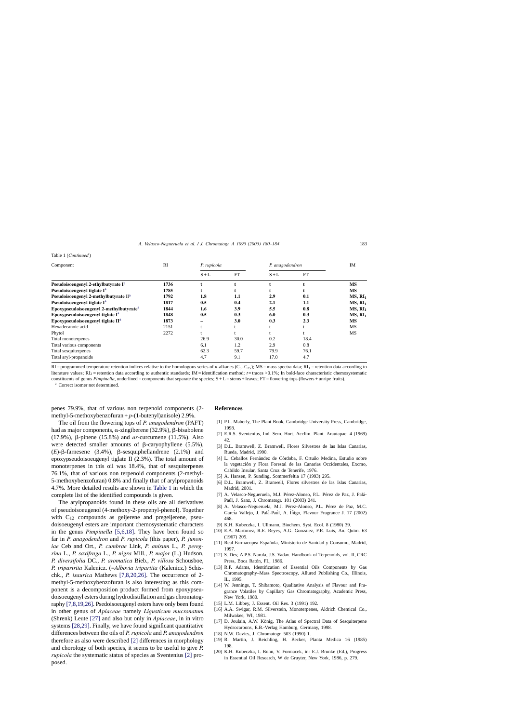#### <span id="page-3-0"></span>Table 1 (*Continued* )

| Component                                           | RI   | P. rupicola |      | P. anagodendron |           | IM                  |
|-----------------------------------------------------|------|-------------|------|-----------------|-----------|---------------------|
|                                                     |      | $S+L$       | FT   | $S+L$           | <b>FT</b> |                     |
| Pseudoisoeugenyl 2-ethylbutyrate I <sup>a</sup>     | 1736 |             |      |                 |           | <b>MS</b>           |
| Pseudoisoeugenyl tiglate I <sup>a</sup>             | 1785 |             |      |                 |           | MS                  |
| Pseudoisoeugenyl 2-methylbutyrate II <sup>a</sup>   | 1792 | 1.8         | 1.1  | 2.9             | 0.1       | MS, RI <sub>1</sub> |
| Pseudoisoeugenyl tiglate I <sup>a</sup>             | 1817 | 0.5         | 0.4  | 2.1             | 1.1       | MS, RI <sub>1</sub> |
| Epoxypseudoisoeugenyl 2-methylbutyrate <sup>a</sup> | 1844 | 1.6         | 3.9  | 5.5             | 0.8       | MS, RI <sub>1</sub> |
| Epoxypseudoisoeugenyl tiglate $I^a$                 | 1848 | 0.5         | 0.3  | 6.0             | 0.3       | MS, RI <sub>1</sub> |
| Epoxypseudoisoeugenyl tiglate II <sup>a</sup>       | 1873 |             | 3.0  | 0.3             | 2.3       | MS                  |
| Hexadecanoic acid                                   | 2151 |             |      |                 |           | MS                  |
| Phytol                                              | 2272 |             |      |                 |           | MS                  |
| Total monoterpenes                                  |      | 26.9        | 30.0 | 0.2             | 18.4      |                     |
| Total various components                            |      | 6.1         | 1.2  | 2.9             | 0.8       |                     |
| Total sesquiterpenes                                |      | 62.3        | 59.7 | 79.9            | 76.1      |                     |
| Total aryl-propanoids                               |      | 4.7         | 9.1  | 17.0            | 4.7       |                     |

RI = programmed temperature retention indices relative to the homologous series of *n*-alkanes (C<sub>5</sub>–C<sub>25</sub>); MS = mass spectra data; RI<sub>1</sub> = retention data according to literature values;  $R1_2$  = retention data according to authentic standards; IM = identification method; *t* = traces >0.1%; In bold-face characteristic chemosystematic constituents of genus *Pimpinella*, underlined = components that separate the species;  $S + L =$  stems + leaves;  $FT =$  flowering tops (flowers + unripe fruits).

<sup>a</sup> Correct isomer not determined.

penes 79.9%, that of various non terpenoid components (2 methyl-5-methoxybenzofuran  $+p-(1$ -butenyl)anisole) 2.9%.

The oil from the flowering tops of *P. anagodendron* (PAFT) had as major components,  $\alpha$ -zingiberene (32.9%),  $\beta$ -bisabolene (17.9%),  $\beta$ -pinene (15.8%) and *ar*-curcumene (11.5%). Also were detected smaller amounts of  $\beta$ -caryophyllene (5.5%),  $(E)$ - $\beta$ -farnesene (3.4%),  $\beta$ -sesquiphellandrene (2.1%) and epoxypseudoisoeugenyl tiglate II (2.3%). The total amount of monoterpenes in this oil was 18.4%, that of sesquiterpenes 76.1%, that of various non terpenoid components (2-methyl-5-methoxybenzofuran) 0.8% and finally that of arylpropanoids 4.7%. More detailed results are shown in [Table 1](#page-2-0) in which the complete list of the identified compounds is given.

The arylpropanoids found in these oils are all derivatives of pseudoisoeugenol (4-methoxy-2-propenyl-phenol). Together with  $C_{12}$  compounds as geijerene and pregeijerene, pseudoisoeugenyl esters are important chemosystematic characters in the genus *Pimpinella* [5,6,18]. They have been found so far in *P. anagodendron* and *P. rupicola* (this paper), *P. junoniae* Ceb and Ort., *P. cumbrae* Link, *P. anisum* L., *P. peregrina* L., *P. saxifraga* L., *P. nigra* Mill., *P. major* (L.) Hudson, *P. diversifolia* DC., *P. aromatica* Bieb., *P. villosa* Schousboe, *P. tripartrita* Kalenicz. (=*Albovia tripartita* (Kalenicz.) Schischk., *P. isaurica* Mathews [7,8,20,26]. The occurrence of 2 methyl-5-methoxybenzofuran is also interesting as this component is a decomposition product formed from epoxypseudoisoeugenyl esters during hydrodistillation and gas chromatography [7,8,19,26]. Psedoisoeugenyl esters have only been found in other genus of *Apiaceae* namely *Ligusticum mucronatum* (Shrenk) Leute [\[27\]](#page-4-0) and also but only in *Apiaceae*, in in vitro systems [\[28,29\]. F](#page-4-0)inally, we have found significant quantitative differences between the oils of *P. rupicola* and *P. anagodendron* therefore as also were described [2] differences in morphology and chorology of both species, it seems to be useful to give *P. rupicola* the systematic status of species as Sventenius [2] proposed.

## **References**

- [1] P.L. Maberly, The Plant Book, Cambridge University Press, Cambridge, 1998.
- [2] E.R.S. Sventenius, Ind. Sem. Hort. Acclim. Plant. Arautapae. 4 (1969) 42.
- [3] D.L. Bramwell, Z. Bramwell, Flores Silvestres de las Islas Canarias, Rueda, Madrid, 1990.
- [4] L. Ceballos Fernández de Córdoba, F. Ortuño Medina, Estudio sobre la vegetación y Flora Forestal de las Canarias Occidentales, Excmo, Cabildo Insular, Santa Cruz de Tenerife, 1976.
- [5] A. Hansen, P. Sunding, Sommerfeltia 17 (1993) 295.
- [6] D.L. Bramwell, Z. Branwell, Flores silvestres de las Islas Canarias, Madrid, 2001.
- [7] A. Velasco-Negueruela, M.J. Pérez-Alonso, P.L. Pérez de Paz, J. Palá-Paúl, J. Sanz, J. Chromatogr. 101 (2003) 241.
- [8] A. Velasco-Negueruela, M.J. Pérez-Alonso, P.L. Pérez de Paz, M.C. García Vallejo, J. Palá-Paúl, A. Íñigo, Flavour Fragrance J. 17 (2002) 468.
- [9] K.H. Kubeczka, I. Ullmann, Biochem. Syst. Ecol. 8 (1980) 39.
- [10] E.A. Martímez, R.E. Reyes, A.G. González, F.R. Luis, An. Quim. 63 (1967) 205.
- [11] Real Farmacopea Española, Ministerio de Sanidad y Consumo, Madrid, 1997.
- [12] S. Dev, A.P.S. Narula, J.S. Yadav. Handbook of Terpenoids, vol. II, CRC Press, Boca Ratón, FL, 1986.
- [13] R.P. Adams, Identification of Essential Oils Components by Gas Chromatography–Mass Spectroscopy, Allured Publishing Co., Illinois, IL, 1995.
- [14] W. Jennings, T. Shibamoto, Qualitative Analysis of Flavour and Fragrance Volatiles by Capillary Gas Chromatography, Academic Press, New York, 1980.
- [15] L.M. Libbey, J. Essent. Oil Res. 3 (1991) 192.
- [16] A.A. Swigar, R.M. Silverstein, Monoterpenes, Aldrich Chemical Co., Milwakee, WI, 1981.
- [17] D. Joulain, A.W. König, The Atlas of Spectral Data of Sesquiterpene Hydrocarbons, E.B.-Verlag Hamburg, Germany, 1998.
- [18] N.W. Davies, J. Chromatogr. 503 (1990) 1.
- [19] R. Martin, J. Reichling, H. Becker, Planta Medica 16 (1985) 198.
- [20] K.H. Kubeczka, I. Bohn, V. Formacek, in: E.J. Brunke (Ed.), Progress in Essential Oil Research, W de Gruyter, New York, 1986, p. 279.